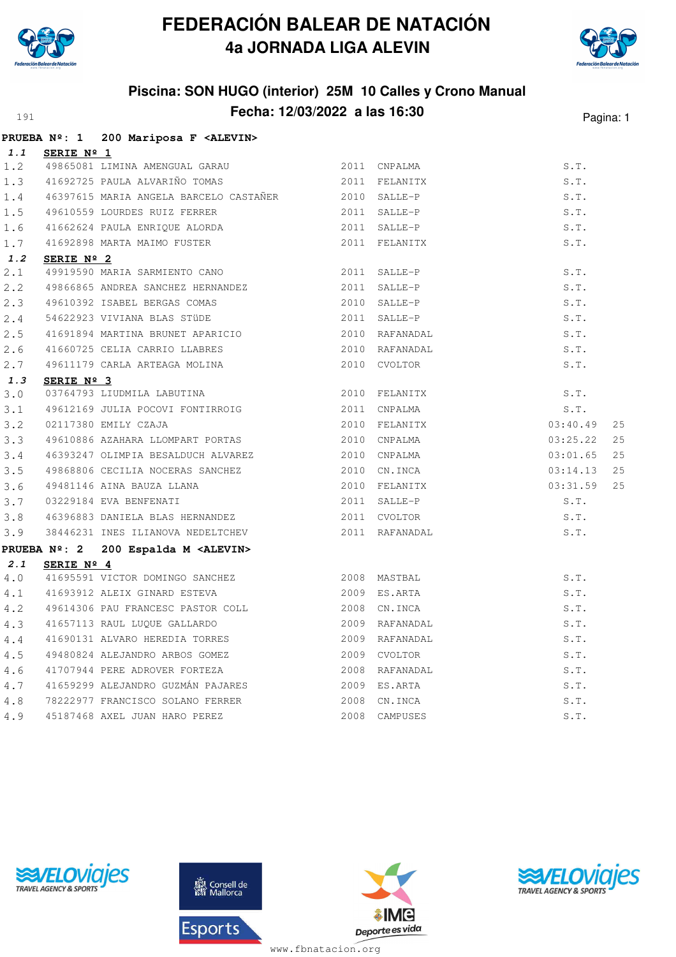



# **Piscina: SON HUGO (interior) 25M 10 Calles y Crono Manual Fecha: 12/03/2022 a las 16:30** Pagina: 1

|     |                     | PRUEBA Nº: 1 200 Mariposa F <alevin></alevin>                     |                |          |    |
|-----|---------------------|-------------------------------------------------------------------|----------------|----------|----|
| 1.1 | <b>SERIE Nº 1</b>   |                                                                   |                |          |    |
| 1.2 |                     | 49865081 LIMINA AMENGUAL GARAU 62011 CNPALMA                      |                | S.T.     |    |
| 1.3 |                     | 41692725 PAULA ALVARIÑO TOMAS                                     | 2011 FELANITX  | S.T.     |    |
| 1.4 |                     | 46397615 MARIA ANGELA BARCELO CASTAÑER 2010 SALLE-P               |                | S.T.     |    |
| 1.5 |                     | 49610559 LOURDES RUIZ FERRER<br>41662624 PAULA ENRIQUE ALORDA     | 2011 SALLE-P   | S.T.     |    |
| 1.6 |                     |                                                                   | 2011 SALLE-P   | S.T.     |    |
| 1.7 |                     | 41692898 MARTA MAIMO FUSTER                                       | 2011 FELANITX  | S.T.     |    |
| 1.2 | SERIE $N^{\circ}$ 2 |                                                                   |                |          |    |
| 2.1 |                     | 49919590 MARIA SARMIENTO CANO                                     | 2011 SALLE-P   | S.T.     |    |
| 2.2 |                     | 49866865 ANDREA SANCHEZ HERNANDEZ                                 | 2011 SALLE-P   | S.T.     |    |
| 2.3 |                     | 49610392 ISABEL BERGAS COMAS                                      | 2010 SALLE-P   | S.T.     |    |
| 2.4 |                     | 54622923 VIVIANA BLAS STÜDE                                       | 2011 SALLE-P   | S.T.     |    |
| 2.5 |                     | 41691894 MARTINA BRUNET APARICIO                                  | 2010 RAFANADAL | S.T.     |    |
| 2.6 |                     | 41660725 CELIA CARRIO LLABRES                                     | 2010 RAFANADAL | S.T.     |    |
| 2.7 |                     | 49611179 CARLA ARTEAGA MOLINA                                     | 2010 CVOLTOR   | S.T.     |    |
| 1.3 | SERIE Nº 3          |                                                                   |                |          |    |
| 3.0 |                     | 03764793 LIUDMILA LABUTINA                                        | 2010 FELANITX  | S.T.     |    |
| 3.1 |                     | 49612169 JULIA POCOVI FONTIRROIG<br>02117380 EMILY CZAJA          | 2011 CNPALMA   | S.T.     |    |
| 3.2 |                     | 02117380 EMILY CZAJA                                              | 2010 FELANITX  | 03:40.49 | 25 |
| 3.3 |                     | 49610886 AZAHARA LLOMPART PORTAS                                  | 2010 CNPALMA   | 03:25.22 | 25 |
| 3.4 |                     | 46393247 OLIMPIA BESALDUCH ALVAREZ                                | 2010 CNPALMA   | 03:01.65 | 25 |
| 3.5 |                     | 49868806 CECILIA NOCERAS SANCHEZ                                  | 2010 CN.INCA   | 03:14.13 | 25 |
| 3.6 |                     |                                                                   | 2010 FELANITX  | 03:31.59 | 25 |
| 3.7 |                     | 49481146 AINA BAUZA LLANA<br>03229184 EVA BENFENATI               | 2011 SALLE-P   | S.T.     |    |
| 3.8 |                     | 46396883 DANIELA BLAS HERNANDEZ 2011 CVOLTOR                      |                | S.T.     |    |
| 3.9 |                     | 38446231 INES ILIANOVA NEDELTCHEV                                 | 2011 RAFANADAL | S.T.     |    |
|     |                     | PRUEBA Nº: 2 200 Espalda M <alevin></alevin>                      |                |          |    |
| 2.1 | SERIE $N^{\circ}$ 4 |                                                                   |                |          |    |
| 4.0 |                     | 41695591 VICTOR DOMINGO SANCHEZ 2008 MASTBAL                      |                | S.T.     |    |
| 4.1 |                     | 41693912 ALEIX GINARD ESTEVA                                      | 2009 ES.ARTA   | S.T.     |    |
| 4.2 |                     | 49614306 PAU FRANCESC PASTOR COLL                                 | 2008 CN.INCA   | S.T.     |    |
| 4.3 |                     | 41657113 RAUL LUQUE GALLARDO                                      | 2009 RAFANADAL | S.T.     |    |
| 4.4 |                     | 41690131 ALVARO HEREDIA TORRES                                    | 2009 RAFANADAL | S.T.     |    |
| 4.5 |                     | 1100011<br>49480824 ALEJANDRO ARBOS GOMEZ                         | 2009 CVOLTOR   | S.T.     |    |
| 4.6 |                     | 41707944 PERE ADROVER FORTEZA                                     | 2008 RAFANADAL | S.T.     |    |
| 4.7 |                     | 41659299 ALEJANDRO GUZMÁN PAJARES                                 | 2009 ES.ARTA   | S.T.     |    |
| 4.8 |                     |                                                                   | 2008 CN.INCA   | S.T.     |    |
| 4.9 |                     | 78222977 FRANCISCO SOLANO FERRER<br>45187468 AXEL JUAN HARO PEREZ | 2008 CAMPUSES  | S.T.     |    |
|     |                     |                                                                   |                |          |    |





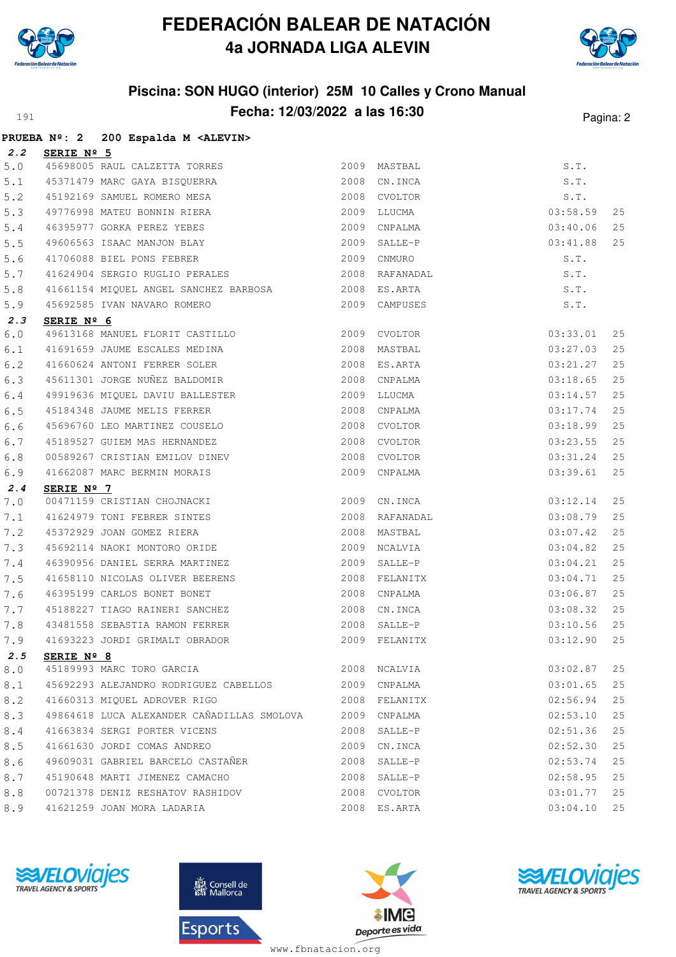

**PRUEBA Nº: 2 200 Espalda M <ALEVIN>**

## **FEDERACIÓN BALEAR DE NATACIÓN 4a JORNADA LIGA ALEVIN**



#### **Piscina: SON HUGO (interior) 25M 10 Calles y Crono Manual Fecha: 12/03/2022 a las 16:30** Pagina: 2

|       |            | PROEBA Nº: 2 200 ESPAIGA M <alevin></alevin>                   |      |                |          |    |
|-------|------------|----------------------------------------------------------------|------|----------------|----------|----|
| 2.2   | SERIE Nº 5 |                                                                |      |                |          |    |
| $5.0$ |            | 45698005 RAUL CALZETTA TORRES                                  |      | 2009 MASTBAL   | S.T.     |    |
| 5.1   |            | 45371479 MARC GAYA BISQUERRA                                   | 2008 | CN.INCA        | S.T.     |    |
| 5.2   |            | 45192169 SAMUEL ROMERO MESA                                    | 2008 | CVOLTOR        | S.T.     |    |
| 5.3   |            | 49776998 MATEU BONNIN RIERA                                    | 2009 | LLUCMA         | 03:58.59 | 25 |
| $5.4$ |            | 46395977 GORKA PEREZ YEBES                                     | 2009 | CNPALMA        | 03:40.06 | 25 |
| 5.5   |            | 49606563 ISAAC MANJON BLAY                                     | 2009 | SALLE-P        | 03:41.88 | 25 |
| 5.6   |            | 41706088 BIEL PONS FEBRER                                      | 2009 | CNMURO         | S.T.     |    |
| 5.7   |            | 41624904 SERGIO RUGLIO PERALES                                 |      | 2008 RAFANADAL | S.T.     |    |
| 5.8   |            | 41661154 MIQUEL ANGEL SANCHEZ BARBOSA 2008 ES.ARTA             |      |                | S.T.     |    |
| 5.9   |            | 45692585 IVAN NAVARO ROMERO                                    |      | 2009 CAMPUSES  | S.T.     |    |
| 2.3   | SERIE Nº 6 |                                                                |      |                |          |    |
| $6.0$ |            | 49613168 MANUEL FLORIT CASTILLO                                |      | 2009 CVOLTOR   | 03:33.01 | 25 |
| 6.1   |            |                                                                |      | 2008 MASTBAL   | 03:27.03 | 25 |
| $6.2$ |            | 41691659 JAUME ESCALES MEDINA<br>41660624 ANTONI FERRER SOLER  |      | 2008 ES.ARTA   | 03:21.27 | 25 |
| 6.3   |            | 45611301 JORGE NUÑEZ BALDOMIR                                  |      | 2008 CNPALMA   | 03:18.65 | 25 |
| 6.4   |            | 49919636 MIQUEL DAVIU BALLESTER<br>45184348 JAUME MELIS FERRER |      | 2009 LLUCMA    | 03:14.57 | 25 |
| 6.5   |            |                                                                |      | 2008 CNPALMA   | 03:17.74 | 25 |
| 6.6   |            | 45696760 LEO MARTINEZ COUSELO                                  | 2008 | CVOLTOR        | 03:18.99 | 25 |
| 6.7   |            | 45189527 GUIEM MAS HERNANDEZ                                   | 2008 | CVOLTOR        | 03:23.55 | 25 |
| 6.8   |            | 00589267 CRISTIAN EMILOV DINEV                                 | 2008 | CVOLTOR        | 03:31.24 | 25 |
| 6.9   |            | 41662087 MARC BERMIN MORAIS                                    |      | 2009 CNPALMA   | 03:39.61 | 25 |
| 2.4   | SERIE Nº 7 |                                                                |      |                |          |    |
| $7.0$ |            | 00471159 CRISTIAN CHOJNACKI                                    |      | 2009 CN.INCA   | 03:12.14 | 25 |
| 7.1   |            | 41624979 TONI FEBRER SINTES                                    | 2008 | RAFANADAL      | 03:08.79 | 25 |
| 7.2   |            | 45372929 JOAN GOMEZ RIERA                                      | 2008 | MASTBAL        | 03:07.42 | 25 |
| 7.3   |            | 45692114 NAOKI MONTORO ORIDE                                   | 2009 | NCALVIA        | 03:04.82 | 25 |
| 7.4   |            | 46390956 DANIEL SERRA MARTINEZ                                 | 2009 | SALLE-P        | 03:04.21 | 25 |
| 7.5   |            | 41658110 NICOLAS OLIVER BEERENS                                | 2008 | FELANITX       | 03:04.71 | 25 |
| 7.6   |            | 46395199 CARLOS BONET BONET                                    | 2008 | CNPALMA        | 03:06.87 | 25 |
| 7.7   |            | 45188227 TIAGO RAINERI SANCHEZ                                 | 2008 | CN.INCA        | 03:08.32 | 25 |
| 7.8   |            | 43481558 SEBASTIA RAMON FERRER                                 | 2008 | SALLE-P        | 03:10.56 | 25 |
| 7.9   |            | 41693223 JORDI GRIMALT OBRADOR                                 | 2009 | FELANITX       | 03:12.90 | 25 |
| 2.5   | SERIE Nº 8 |                                                                |      |                |          |    |
| 8.0   |            | 45189993 MARC TORO GARCIA                                      | 2008 | NCALVIA        | 03:02.87 | 25 |
| 8.1   |            | 45692293 ALEJANDRO RODRIGUEZ CABELLOS                          | 2009 | CNPALMA        | 03:01.65 | 25 |
| 8.2   |            | 41660313 MIOUEL ADROVER RIGO                                   |      | 2008 FELANITX  | 02:56.94 | 25 |
| 8.3   |            | 49864618 LUCA ALEXANDER CAÑADILLAS SMOLOVA                     |      | 2009 CNPALMA   | 02:53.10 | 25 |
| 8.4   |            | 41663834 SERGI PORTER VICENS                                   |      | 2008 SALLE-P   | 02:51.36 | 25 |
| 8.5   |            | 41661630 JORDI COMAS ANDREO                                    | 2009 | CN.INCA        | 02:52.30 | 25 |
| 8.6   |            | 49609031 GABRIEL BARCELO CASTAÑER                              | 2008 | SALLE-P        | 02:53.74 | 25 |
| 8.7   |            | 45190648 MARTI JIMENEZ CAMACHO                                 | 2008 | SALLE-P        | 02:58.95 | 25 |
| 8.8   |            | 00721378 DENIZ RESHATOV RASHIDOV                               |      | 2008 CVOLTOR   | 03:01.77 | 25 |
| 8.9   |            | 41621259 JOAN MORA LADARIA                                     |      | 2008 ES.ARTA   | 03:04.10 | 25 |
|       |            |                                                                |      |                |          |    |







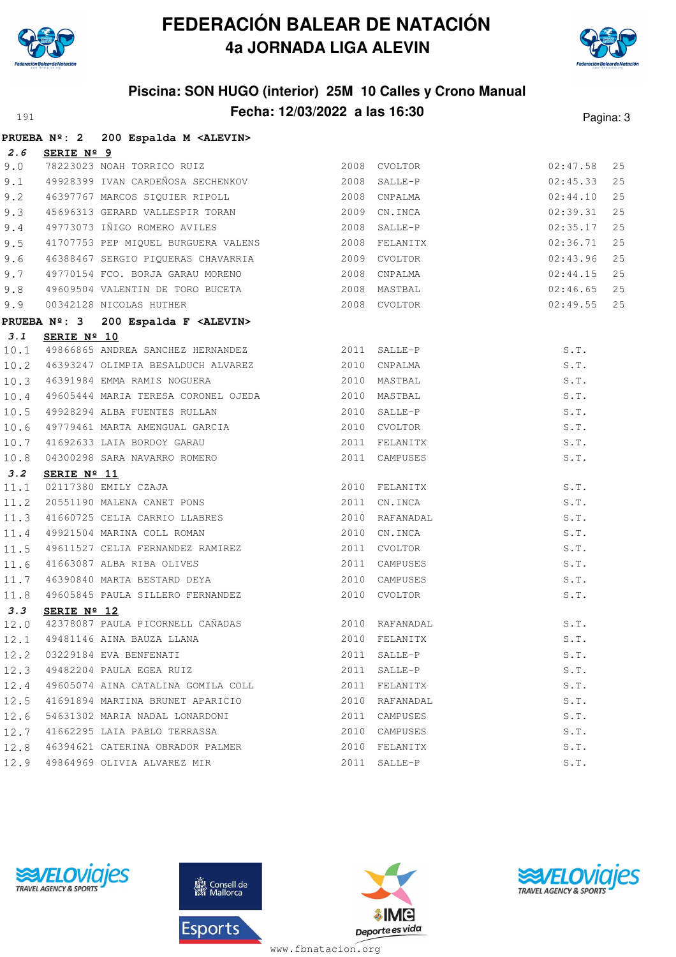



# **Piscina: SON HUGO (interior) 25M 10 Calles y Crono Manual Fecha: 12/03/2022 a las 16:30** Pagina: 3

|      |                      | PRUEBA Nº: 2 200 Espalda M <alevin></alevin>                                                                                                         |                |          |    |
|------|----------------------|------------------------------------------------------------------------------------------------------------------------------------------------------|----------------|----------|----|
| 2.6  | SERIE Nº 9           |                                                                                                                                                      |                |          |    |
| 9.0  |                      | 2008 CVOLTOR                                                                                                                                         |                | 02:47.58 | 25 |
| 9.1  |                      |                                                                                                                                                      |                | 02:45.33 | 25 |
| 9.2  |                      | 46397767 MARCOS SIQUIER RIPOLL 2008 CNPALMA                                                                                                          |                | 02:44.10 | 25 |
| 9.3  |                      | 45696313 GERARD VALLESPIR TORAN 2009 CN.INCA                                                                                                         |                | 02:39.31 | 25 |
| 9.4  |                      | 49773073 IÑIGO ROMERO AVILES 2008 SALLE-P                                                                                                            |                | 02:35.17 | 25 |
| 9.5  |                      | 41707753 PEP MIQUEL BURGUERA VALENS 2008 FELANITX                                                                                                    |                | 02:36.71 | 25 |
| 9.6  |                      | 46388467 SERGIO PIQUERAS CHAVARRIA 2009 CVOLTOR                                                                                                      |                | 02:43.96 | 25 |
| 9.7  |                      | 49770154 FCO. BORJA GARAU MORENO 2008 CNPALMA                                                                                                        |                | 02:44.15 | 25 |
| 9.8  |                      | 49609504 VALENTIN DE TORO BUCETA (2008) MASTBAL (2008) 2008 EVOLTOR                                                                                  |                | 02:46.65 | 25 |
|      |                      |                                                                                                                                                      |                | 02:49.55 | 25 |
|      |                      | 9.9 00342128 NICOLAS HUTHER<br>PRUEBA Nº: 3 200 Espalda F <alevin><br/>PRUEBA Nº: 3 200 Espalda F <alevin></alevin></alevin>                         |                |          |    |
| 3.1  | SERIE Nº 10          |                                                                                                                                                      |                |          |    |
| 10.1 |                      | 49866865 ANDREA SANCHEZ HERNANDEZ 2011 SALLE-P                                                                                                       |                | S.T.     |    |
|      |                      | 10.2 46393247 OLIMPIA BESALDUCH ALVAREZ 2010 CNPALMA                                                                                                 |                | S.T.     |    |
| 10.3 |                      | 46391984 EMMA RAMIS NOGUERA 2010 MASTBAL                                                                                                             |                | S.T.     |    |
| 10.4 |                      |                                                                                                                                                      |                | S.T.     |    |
| 10.5 |                      | 49605444 MARIA TERESA CORONEL OJEDA 19928294 ALBA FUENTES RULLAN 2010 SALLE-P                                                                        |                | S.T.     |    |
| 10.6 |                      | 49779461 MARTA AMENGUAL GARCIA                                                                                                                       | 2010 CVOLTOR   | S.T.     |    |
| 10.7 |                      |                                                                                                                                                      | 2011 FELANITX  | S.T.     |    |
| 10.8 |                      | 41692633 LAIA BORDOY GARAU<br>04300298 SARA NAVARRO ROMERO                                                                                           | 2011 CAMPUSES  | S.T.     |    |
| 3.2  | SERIE $N^{\circ}$ 11 |                                                                                                                                                      |                |          |    |
| 11.1 |                      | <b>SERIE Nº 11</b><br>02117380 EMILY CZAJA<br>20551190 MALENA CANET PONS 2011 CN.INCA                                                                | 2010 FELANITX  | S.T.     |    |
| 11.2 |                      |                                                                                                                                                      |                | S.T.     |    |
| 11.3 |                      | 41660725 CELIA CARRIO LLABRES<br>49921504 MARINA COLL ROMAN                                                                                          | 2010 RAFANADAL | S.T.     |    |
| 11.4 |                      |                                                                                                                                                      | 2010 CN.INCA   | S.T.     |    |
| 11.5 |                      | 49611527 CELIA FERNANDEZ RAMIREZ                                                                                                                     | 2011 CVOLTOR   | S.T.     |    |
|      |                      |                                                                                                                                                      |                | S.T.     |    |
|      |                      |                                                                                                                                                      |                | S.T.     |    |
|      |                      | 11.6 41663087 ALBA RIBA OLIVES 2011 CAMPUSES<br>11.7 46390840 MARTA BESTARD DEYA 2010 CAMPUSES<br>11.8 49605845 PAULA SILLERO FERNANDEZ 2010 CVOLTOR |                | S.T.     |    |
| 3.3  | SERIE Nº 12          |                                                                                                                                                      |                |          |    |
| 12.0 |                      | 42378087 PAULA PICORNELL CAÑADAS<br>2010 RAFANADAL                                                                                                   |                | S.T.     |    |
|      |                      | 12.1 49481146 AINA BAUZA LLANA (2010 FELANITX                                                                                                        |                | S.T.     |    |
|      |                      | 12.2 03229184 EVA BENFENATI                                                                                                                          | 2011 SALLE-P   | S.T.     |    |
|      |                      | 12.3 49482204 PAULA EGEA RUIZ                                                                                                                        | 2011 SALLE-P   | S.T.     |    |
| 12.4 |                      |                                                                                                                                                      |                | S.T.     |    |
| 12.5 |                      | 41691894 MARTINA BRUNET APARICIO XALLANDA 2010 RAFANADAL                                                                                             |                | S.T.     |    |
| 12.6 |                      | 54631302 MARIA NADAL LONARDONI                                                                                                                       | 2011 CAMPUSES  | S.T.     |    |
| 12.7 |                      | 41662295 LAIA PABLO TERRASSA                                                                                                                         | 2010 CAMPUSES  | S.T.     |    |
|      |                      | 12.8 46394621 CATERINA OBRADOR PALMER                                                                                                                | 2010 FELANITX  | S.T.     |    |
|      |                      | 12.9 49864969 OLIVIA ALVAREZ MIR                                                                                                                     | 2011 SALLE-P   | S.T.     |    |







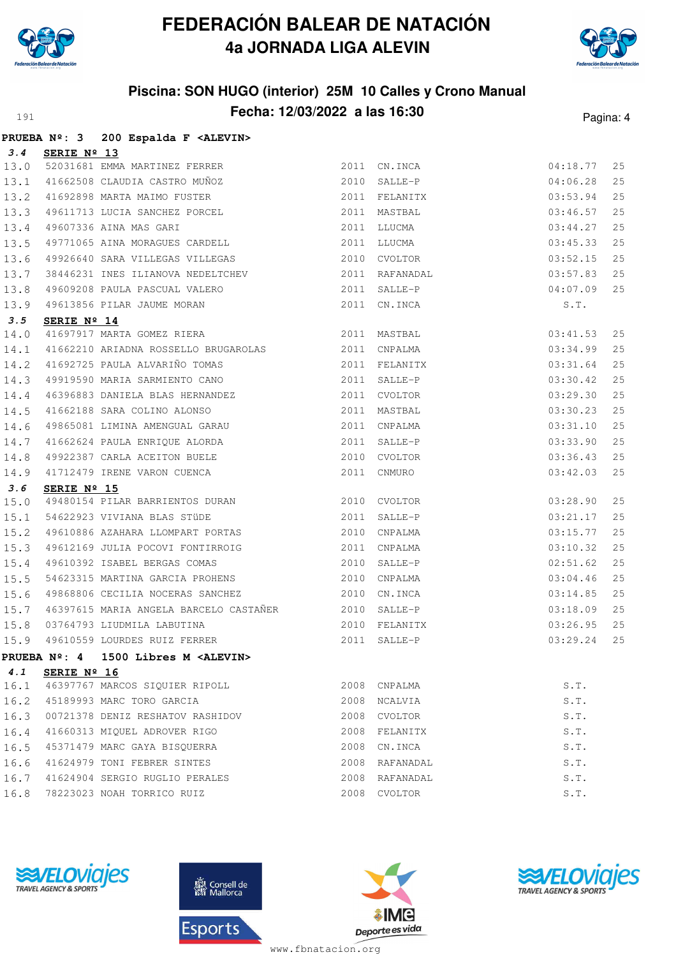



#### **Piscina: SON HUGO (interior) 25M 10 Calles y Crono Manual Fecha: 12/03/2022 a las 16:30** Pagina: 4

|      |                    | PRUEBA Nº: 3 200 Espalda F <alevin></alevin>                                                                                                                                                                                                                                                                |              |                |                          |     |
|------|--------------------|-------------------------------------------------------------------------------------------------------------------------------------------------------------------------------------------------------------------------------------------------------------------------------------------------------------|--------------|----------------|--------------------------|-----|
| 3.4  | <b>SERIE Nº 13</b> |                                                                                                                                                                                                                                                                                                             |              |                |                          |     |
| 13.0 |                    | 52031681 EMMA MARTINEZ FERRER                                                                                                                                                                                                                                                                               |              | 2011 CN.INCA   | 04:18.77                 | 25  |
| 13.1 |                    | 41662508 CLAUDIA CASTRO MUÑOZ 2010 SALLE-P                                                                                                                                                                                                                                                                  |              |                | 04:06.28                 | 25  |
| 13.2 |                    |                                                                                                                                                                                                                                                                                                             |              |                |                          | 25  |
| 13.3 |                    | 41692898 MARTA MAIMO FUSTER 2011 FELANITX 03:53.94<br>49611713 LUCIA SANCHEZ PORCEL 2011 MASTBAL 03:46.57<br>49607336 AINA MAS GARI 2011 LLUCMA 03:44.27<br>49771065 AINA MORAGUES CARDELL 2011 LLUCMA 03:45.33                                                                                             |              |                |                          | 25  |
| 13.4 |                    |                                                                                                                                                                                                                                                                                                             |              |                |                          | 25  |
| 13.5 |                    |                                                                                                                                                                                                                                                                                                             |              |                |                          | 25  |
| 13.6 |                    | 49926640 SARA VILLEGAS VILLEGAS 600 2010 CVOLTOR                                                                                                                                                                                                                                                            |              |                | 03:52.15                 | 25  |
| 13.7 |                    | 38446231 INES ILIANOVA NEDELTCHEV                                                                                                                                                                                                                                                                           |              | 2011 RAFANADAL | 03:57.83                 | 25  |
| 13.8 |                    | 49609208 PAULA PASCUAL VALERO 2011 SALLE-P 04:07.09                                                                                                                                                                                                                                                         |              |                |                          | 25  |
| 13.9 |                    | 49613856 PILAR JAUME MORAN                                                                                                                                                                                                                                                                                  |              |                | S.T.                     |     |
| 3.5  |                    | 2011 CN.INCA<br>SERIE Nº 14<br>41697917 MARTA GOMEZ RIERA<br>2011 MASTBAL                                                                                                                                                                                                                                   |              |                |                          |     |
| 14.0 |                    |                                                                                                                                                                                                                                                                                                             | 2011 MASTBAL |                | 03:41.53                 | 25  |
| 14.1 |                    |                                                                                                                                                                                                                                                                                                             |              |                | 03:34.99                 | 25  |
| 14.2 |                    |                                                                                                                                                                                                                                                                                                             |              |                |                          | 25  |
|      |                    | 14.3 49919590 MARIA SARMIENTO CANO 2011 SALLE-P                                                                                                                                                                                                                                                             |              |                | 03:30.42                 | 25  |
| 14.4 |                    |                                                                                                                                                                                                                                                                                                             |              |                | 03:29.30                 | 25  |
| 14.5 |                    |                                                                                                                                                                                                                                                                                                             |              |                | $03:30.23$<br>$03:31.10$ | 25  |
| 14.6 |                    |                                                                                                                                                                                                                                                                                                             |              |                |                          | 25  |
|      |                    |                                                                                                                                                                                                                                                                                                             |              |                | 03:33.90                 | 25  |
|      |                    |                                                                                                                                                                                                                                                                                                             |              |                | 03:36.43                 | 25  |
|      |                    | $\begin{tabular}{lllllllllll} 14.7 & 41662624 {\small \tt PAULA ENRIQUE ALORDA} & & & & & 2011 {\small \tt SALLE-P} \\ 14.8 & 49922387 {\small \tt CARLA ACEITION BUELE} & & & & 2010 {\small \tt CVOLTOR} \\ 14.9 & 41712479 {\small \tt IRENE VARON CUENCA} & & & 2011 {\small \tt CMMURO} \end{tabular}$ |              |                | 03:42.03                 | 25  |
| 3.6  | SERIE Nº 15        |                                                                                                                                                                                                                                                                                                             |              |                |                          |     |
| 15.0 |                    | 49480154 PILAR BARRIENTOS DURAN 2010 CVOLTOR                                                                                                                                                                                                                                                                |              |                | 03:28.90                 | 25  |
| 15.1 |                    | 54622923 VIVIANA BLAS STÜDE 60 2011 SALLE-P                                                                                                                                                                                                                                                                 |              |                | 03:21.17                 | 25  |
| 15.2 |                    |                                                                                                                                                                                                                                                                                                             |              |                | 03:15.77                 | 25  |
| 15.3 |                    |                                                                                                                                                                                                                                                                                                             |              |                | 03:10.32                 | 25  |
| 15.4 |                    |                                                                                                                                                                                                                                                                                                             |              |                | 02:51.62                 | 25  |
| 15.5 |                    | 54623315 MARTINA GARCIA PROHENS 2010 CNPALMA                                                                                                                                                                                                                                                                |              |                | 03:04.46                 | 25  |
| 15.6 |                    | 49868806 CECILIA NOCERAS SANCHEZ 2010 CN.INCA                                                                                                                                                                                                                                                               |              |                | 03:14.85                 | 25  |
|      |                    | 15.7 46397615 MARIA ANGELA BARCELO CASTAÑER 2010 SALLE-P                                                                                                                                                                                                                                                    |              |                | 03:18.09                 | 25  |
|      |                    |                                                                                                                                                                                                                                                                                                             |              |                |                          | 25  |
|      |                    |                                                                                                                                                                                                                                                                                                             |              |                |                          | 2.5 |
|      |                    | PRUEBA Nº: 4 1500 Libres M <alevin></alevin>                                                                                                                                                                                                                                                                |              |                |                          |     |
| 4.1  | SERIE Nº 16        |                                                                                                                                                                                                                                                                                                             |              |                |                          |     |
| 16.1 |                    | 46397767 MARCOS SIQUIER RIPOLL                                                                                                                                                                                                                                                                              |              | 2008 CNPALMA   | S.T.                     |     |
| 16.2 |                    | 45189993 MARC TORO GARCIA                                                                                                                                                                                                                                                                                   | 2008         | NCALVIA        | S.T.                     |     |
| 16.3 |                    | 00721378 DENIZ RESHATOV RASHIDOV                                                                                                                                                                                                                                                                            | 2008         | CVOLTOR        | S.T.                     |     |
| 16.4 |                    | 41660313 MIQUEL ADROVER RIGO                                                                                                                                                                                                                                                                                | 2008         | FELANITX       | S.T.                     |     |
| 16.5 |                    | 45371479 MARC GAYA BISQUERRA                                                                                                                                                                                                                                                                                | 2008         | CN.INCA        | S.T.                     |     |
| 16.6 |                    | 41624979 TONI FEBRER SINTES                                                                                                                                                                                                                                                                                 |              | 2008 RAFANADAL | S.T.                     |     |
| 16.7 |                    | 41624904 SERGIO RUGLIO PERALES                                                                                                                                                                                                                                                                              |              | 2008 RAFANADAL | S.T.                     |     |
| 16.8 |                    | 78223023 NOAH TORRICO RUIZ                                                                                                                                                                                                                                                                                  |              | 2008 CVOLTOR   | S.T.                     |     |
|      |                    |                                                                                                                                                                                                                                                                                                             |              |                |                          |     |







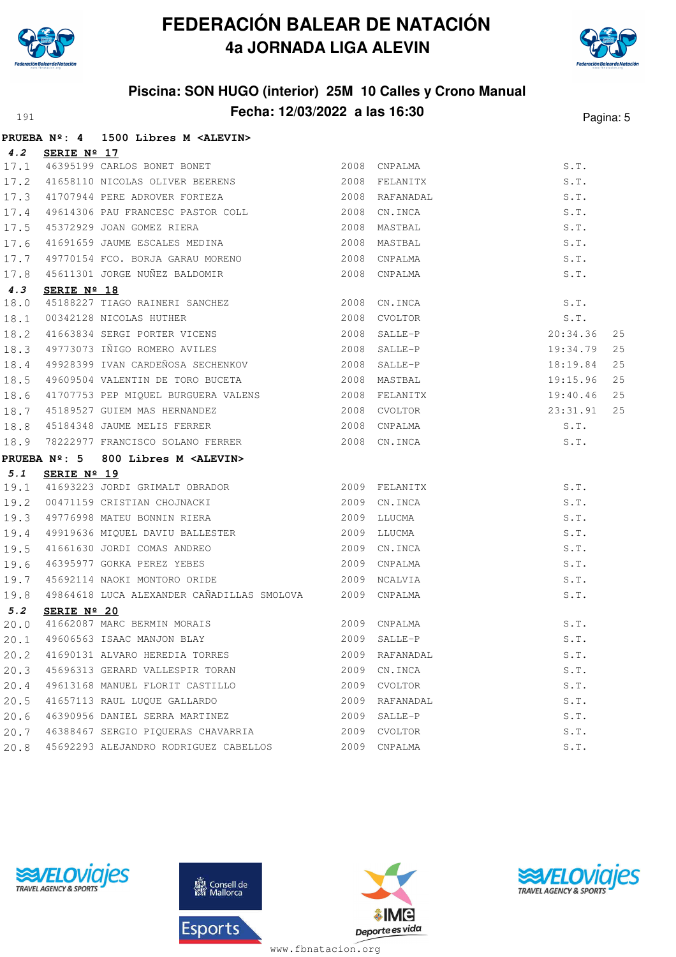



# **Piscina: SON HUGO (interior) 25M 10 Calles y Crono Manual Fecha: 12/03/2022 a las 16:30** Pagina: 5

|      |                      | PRUEBA Nº: 4 1500 Libres M <alevin></alevin>                                                                                                                                                         |                |                    |    |
|------|----------------------|------------------------------------------------------------------------------------------------------------------------------------------------------------------------------------------------------|----------------|--------------------|----|
| 4.2  | SERIE $N^{\circ}$ 17 |                                                                                                                                                                                                      |                |                    |    |
| 17.1 |                      | 46395199 CARLOS BONET BONET                                                                                                                                                                          | 2008 CNPALMA   | S.T.               |    |
| 17.2 |                      | 41658110 NICOLAS OLIVER BEERENS 2008 FELANITX                                                                                                                                                        |                | S.T.               |    |
| 17.3 |                      | 41707944 PERE ADROVER FORTEZA 2008 RAFANADAL                                                                                                                                                         |                | S.T.               |    |
| 17.4 |                      | 49614306 PAU FRANCESC PASTOR COLL 2008 CN.INCA                                                                                                                                                       |                | S.T.               |    |
| 17.5 |                      | 45372929 JOAN GOMEZ RIERA (2008)<br>41691659 JAUME ESCALES MEDINA (2008)                                                                                                                             | MASTBAL        | S.T.               |    |
| 17.6 |                      |                                                                                                                                                                                                      | MASTBAL        | S.T.               |    |
| 17.7 |                      |                                                                                                                                                                                                      | 2008 CNPALMA   | S.T.               |    |
| 17.8 |                      | 49770154 FCO. BORJA GARAU MORENO<br>45611301 JORGE NUÑEZ BALDOMIR                                                                                                                                    | 2008 CNPALMA   | S.T.               |    |
| 4.3  | SERIE Nº 18          |                                                                                                                                                                                                      |                |                    |    |
| 18.0 |                      |                                                                                                                                                                                                      |                | S.T.               |    |
| 18.1 |                      | SERIE N <sup>2</sup> IO<br>45188227 TIAGO RAINERI SANCHEZ<br>00342128 NICOLAS HUTHER<br>41663834 SERGI PORTER VICENS<br>49773073 IÑIGO ROMERO AVILES<br>2008 SALLE-P<br>2008 SALLE-P<br>2008 SALLE-P |                | S.T.               |    |
| 18.2 |                      |                                                                                                                                                                                                      |                | 20:34.36           | 25 |
| 18.3 |                      |                                                                                                                                                                                                      |                | 19:34.79           | 25 |
| 18.4 |                      | 49928399 IVAN CARDEÑOSA SECHENKOV 2008 SALLE-P                                                                                                                                                       |                | 18:19.84           | 25 |
| 18.5 |                      |                                                                                                                                                                                                      |                | 19:15.96           | 25 |
| 18.6 |                      | 41707753 PEP MIQUEL BURGUERA VALENS (2008) FELANITX<br>45189527 GUIEM MAS HERNANDEZ (2008) 2008 CVOLTOR<br>45184348 JAUME MELIS FERRER (2008) 2008 CNPALMA                                           |                | 19:40.46           | 25 |
| 18.7 |                      |                                                                                                                                                                                                      |                | 23:31.91           | 25 |
| 18.8 |                      |                                                                                                                                                                                                      |                | S.T.               |    |
| 18.9 |                      | 78222977 FRANCISCO SOLANO FERRER 2008 CN.INCA                                                                                                                                                        |                | S.T.               |    |
|      |                      | PRUEBA Nº: 5 800 Libres M <alevin></alevin>                                                                                                                                                          |                |                    |    |
| 5.1  | SERIE Nº 19          |                                                                                                                                                                                                      |                |                    |    |
| 19.1 |                      |                                                                                                                                                                                                      |                | S.T.               |    |
| 19.2 |                      | 00471159 CRISTIAN CHOJNACKI 2009 CN.INCA                                                                                                                                                             |                | S.T.               |    |
| 19.3 |                      | 49776998 MATEU BONNIN RIERA<br>49919636 MIQUEL DAVIU BALLESTER<br>41661630 JORDI COMAS ANDREO<br>46395977 GORKA PEREZ YEBES<br>2009 CN.INCA<br>2009 CN.INCA                                          |                | S.T.               |    |
| 19.4 |                      |                                                                                                                                                                                                      |                | S.T.               |    |
| 19.5 |                      |                                                                                                                                                                                                      |                | S.T.               |    |
| 19.6 |                      |                                                                                                                                                                                                      |                | S.T.               |    |
| 19.7 |                      |                                                                                                                                                                                                      | 2009 NCALVIA   | S.T.               |    |
| 19.8 |                      | 49864618 LUCA ALEXANDER CAÑADILLAS SMOLOVA 2009 CNPALMA                                                                                                                                              |                | S.T.               |    |
| 5.2  | SERIE Nº 20          |                                                                                                                                                                                                      |                |                    |    |
| 20.0 |                      | 41662087 MARC BERMIN MORAIS                                                                                                                                                                          | 2009 CNPALMA   | S.T.               |    |
|      |                      |                                                                                                                                                                                                      |                | S.T.               |    |
|      |                      | 20.2 41690131 ALVARO HEREDIA TORRES                                                                                                                                                                  | 2009 RAFANADAL | S.T.               |    |
| 20.3 |                      | 45696313 GERARD VALLESPIR TORAN                                                                                                                                                                      | 2009 CN. INCA  | S.T.               |    |
| 20.4 |                      | 49613168 MANUEL FLORIT CASTILLO                                                                                                                                                                      | 2009 CVOLTOR   | S.T.               |    |
| 20.5 |                      | 41657113 RAUL LUQUE GALLARDO                                                                                                                                                                         | 2009 RAFANADAL | S.T.               |    |
| 20.6 |                      | 46390956 DANIEL SERRA MARTINEZ                                                                                                                                                                       | 2009 SALLE-P   | S.T.               |    |
| 20.7 |                      | 46388467 SERGIO PIQUERAS CHAVARRIA                                                                                                                                                                   | 2009 CVOLTOR   | S.T.               |    |
| 20.8 |                      | 45692293 ALEJANDRO RODRIGUEZ CABELLOS                                                                                                                                                                | 2009 CNPALMA   | $\texttt{S}$ . T . |    |